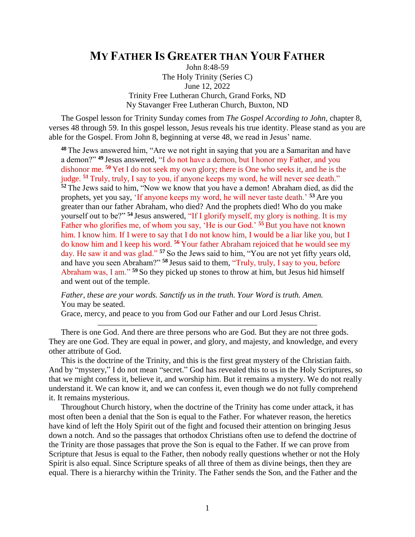## **MY FATHER IS GREATER THAN YOUR FATHER**

John 8:48-59 The Holy Trinity (Series C) June 12, 2022 Trinity Free Lutheran Church, Grand Forks, ND Ny Stavanger Free Lutheran Church, Buxton, ND

The Gospel lesson for Trinity Sunday comes from *The Gospel According to John*, chapter 8, verses 48 through 59. In this gospel lesson, Jesus reveals his true identity. Please stand as you are able for the Gospel. From John 8, beginning at verse 48, we read in Jesus' name.

**<sup>48</sup>** The Jews answered him, "Are we not right in saying that you are a Samaritan and have a demon?" **<sup>49</sup>** Jesus answered, "I do not have a demon, but I honor my Father, and you dishonor me. **<sup>50</sup>** Yet I do not seek my own glory; there is One who seeks it, and he is the judge. **<sup>51</sup>** Truly, truly, I say to you, if anyone keeps my word, he will never see death." **<sup>52</sup>** The Jews said to him, "Now we know that you have a demon! Abraham died, as did the prophets, yet you say, 'If anyone keeps my word, he will never taste death.' **<sup>53</sup>** Are you greater than our father Abraham, who died? And the prophets died! Who do you make yourself out to be?" **<sup>54</sup>** Jesus answered, "If I glorify myself, my glory is nothing. It is my Father who glorifies me, of whom you say, 'He is our God.' **<sup>55</sup>** But you have not known him. I know him. If I were to say that I do not know him, I would be a liar like you, but I do know him and I keep his word. **<sup>56</sup>** Your father Abraham rejoiced that he would see my day. He saw it and was glad." **<sup>57</sup>** So the Jews said to him, "You are not yet fifty years old, and have you seen Abraham?" **<sup>58</sup>** Jesus said to them, "Truly, truly, I say to you, before Abraham was, I am." **<sup>59</sup>** So they picked up stones to throw at him, but Jesus hid himself and went out of the temple.

*Father, these are your words. Sanctify us in the truth. Your Word is truth. Amen.* You may be seated.

Grace, mercy, and peace to you from God our Father and our Lord Jesus Christ.

There is one God. And there are three persons who are God. But they are not three gods. They are one God. They are equal in power, and glory, and majesty, and knowledge, and every other attribute of God.

This is the doctrine of the Trinity, and this is the first great mystery of the Christian faith. And by "mystery," I do not mean "secret." God has revealed this to us in the Holy Scriptures, so that we might confess it, believe it, and worship him. But it remains a mystery. We do not really understand it. We can know it, and we can confess it, even though we do not fully comprehend it. It remains mysterious.

Throughout Church history, when the doctrine of the Trinity has come under attack, it has most often been a denial that the Son is equal to the Father. For whatever reason, the heretics have kind of left the Holy Spirit out of the fight and focused their attention on bringing Jesus down a notch. And so the passages that orthodox Christians often use to defend the doctrine of the Trinity are those passages that prove the Son is equal to the Father. If we can prove from Scripture that Jesus is equal to the Father, then nobody really questions whether or not the Holy Spirit is also equal. Since Scripture speaks of all three of them as divine beings, then they are equal. There is a hierarchy within the Trinity. The Father sends the Son, and the Father and the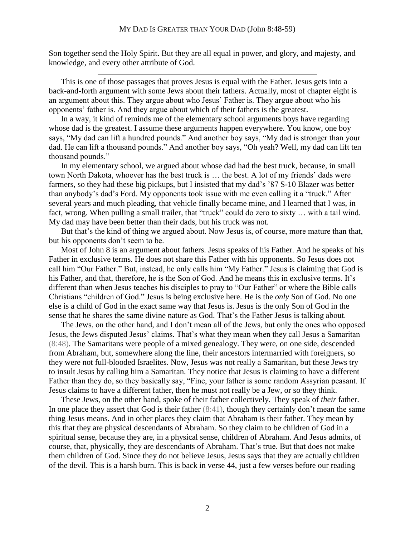Son together send the Holy Spirit. But they are all equal in power, and glory, and majesty, and knowledge, and every other attribute of God.

This is one of those passages that proves Jesus is equal with the Father. Jesus gets into a back-and-forth argument with some Jews about their fathers. Actually, most of chapter eight is an argument about this. They argue about who Jesus' Father is. They argue about who his opponents' father is. And they argue about which of their fathers is the greatest.

In a way, it kind of reminds me of the elementary school arguments boys have regarding whose dad is the greatest. I assume these arguments happen everywhere. You know, one boy says, "My dad can lift a hundred pounds." And another boy says, "My dad is stronger than your dad. He can lift a thousand pounds." And another boy says, "Oh yeah? Well, my dad can lift ten thousand pounds."

In my elementary school, we argued about whose dad had the best truck, because, in small town North Dakota, whoever has the best truck is … the best. A lot of my friends' dads were farmers, so they had these big pickups, but I insisted that my dad's '87 S-10 Blazer was better than anybody's dad's Ford. My opponents took issue with me even calling it a "truck." After several years and much pleading, that vehicle finally became mine, and I learned that I was, in fact, wrong. When pulling a small trailer, that "truck" could do zero to sixty … with a tail wind. My dad may have been better than their dads, but his truck was not.

But that's the kind of thing we argued about. Now Jesus is, of course, more mature than that, but his opponents don't seem to be.

Most of John 8 is an argument about fathers. Jesus speaks of his Father. And he speaks of his Father in exclusive terms. He does not share this Father with his opponents. So Jesus does not call him "Our Father." But, instead, he only calls him "My Father." Jesus is claiming that God is his Father, and that, therefore, he is the Son of God. And he means this in exclusive terms. It's different than when Jesus teaches his disciples to pray to "Our Father" or where the Bible calls Christians "children of God." Jesus is being exclusive here. He is the *only* Son of God. No one else is a child of God in the exact same way that Jesus is. Jesus is the only Son of God in the sense that he shares the same divine nature as God. That's the Father Jesus is talking about.

The Jews, on the other hand, and I don't mean all of the Jews, but only the ones who opposed Jesus, the Jews disputed Jesus' claims. That's what they mean when they call Jesus a Samaritan (8:48). The Samaritans were people of a mixed genealogy. They were, on one side, descended from Abraham, but, somewhere along the line, their ancestors intermarried with foreigners, so they were not full-blooded Israelites. Now, Jesus was not really a Samaritan, but these Jews try to insult Jesus by calling him a Samaritan. They notice that Jesus is claiming to have a different Father than they do, so they basically say, "Fine, your father is some random Assyrian peasant. If Jesus claims to have a different father, then he must not really be a Jew, or so they think.

These Jews, on the other hand, spoke of their father collectively. They speak of *their* father. In one place they assert that God is their father  $(8:41)$ , though they certainly don't mean the same thing Jesus means. And in other places they claim that Abraham is their father. They mean by this that they are physical descendants of Abraham. So they claim to be children of God in a spiritual sense, because they are, in a physical sense, children of Abraham. And Jesus admits, of course, that, physically, they are descendants of Abraham. That's true. But that does not make them children of God. Since they do not believe Jesus, Jesus says that they are actually children of the devil. This is a harsh burn. This is back in verse 44, just a few verses before our reading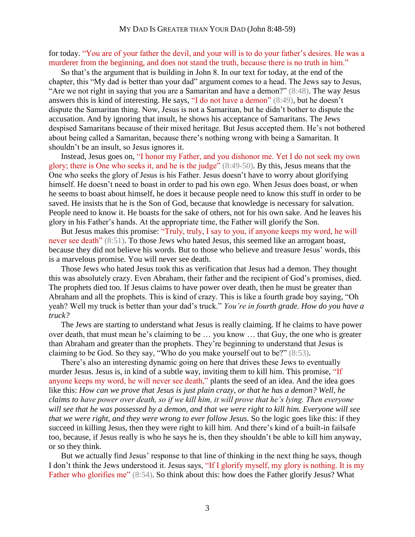for today. "You are of your father the devil, and your will is to do your father's desires. He was a murderer from the beginning, and does not stand the truth, because there is no truth in him."

So that's the argument that is building in John 8. In our text for today, at the end of the chapter, this "My dad is better than your dad" argument comes to a head. The Jews say to Jesus, "Are we not right in saying that you are a Samaritan and have a demon?" (8:48). The way Jesus answers this is kind of interesting. He says, "I do not have a demon" (8:49), but he doesn't dispute the Samaritan thing. Now, Jesus is not a Samaritan, but he didn't bother to dispute the accusation. And by ignoring that insult, he shows his acceptance of Samaritans. The Jews despised Samaritans because of their mixed heritage. But Jesus accepted them. He's not bothered about being called a Samaritan, because there's nothing wrong with being a Samaritan. It shouldn't be an insult, so Jesus ignores it.

Instead, Jesus goes on, "I honor my Father, and you dishonor me. Yet I do not seek my own glory; there is One who seeks it, and he is the judge" (8:49-50). By this, Jesus means that the One who seeks the glory of Jesus is his Father. Jesus doesn't have to worry about glorifying himself. He doesn't need to boast in order to pad his own ego. When Jesus does boast, or when he seems to boast about himself, he does it because people need to know this stuff in order to be saved. He insists that he is the Son of God, because that knowledge is necessary for salvation. People need to know it. He boasts for the sake of others, not for his own sake. And he leaves his glory in his Father's hands. At the appropriate time, the Father will glorify the Son.

But Jesus makes this promise: "Truly, truly, I say to you, if anyone keeps my word, he will never see death" (8:51). To those Jews who hated Jesus, this seemed like an arrogant boast, because they did not believe his words. But to those who believe and treasure Jesus' words, this is a marvelous promise. You will never see death.

Those Jews who hated Jesus took this as verification that Jesus had a demon. They thought this was absolutely crazy. Even Abraham, their father and the recipient of God's promises, died. The prophets died too. If Jesus claims to have power over death, then he must be greater than Abraham and all the prophets. This is kind of crazy. This is like a fourth grade boy saying, "Oh yeah? Well my truck is better than your dad's truck." *You're in fourth grade. How do you have a truck?*

The Jews are starting to understand what Jesus is really claiming. If he claims to have power over death, that must mean he's claiming to be … you know … that Guy, the one who is greater than Abraham and greater than the prophets. They're beginning to understand that Jesus is claiming to be God. So they say, "Who do you make yourself out to be?" (8:53).

There's also an interesting dynamic going on here that drives these Jews to eventually murder Jesus. Jesus is, in kind of a subtle way, inviting them to kill him. This promise, "If anyone keeps my word, he will never see death," plants the seed of an idea. And the idea goes like this: *How can we prove that Jesus is just plain crazy, or that he has a demon? Well, he claims to have power over death, so if we kill him, it will prove that he's lying. Then everyone will see that he was possessed by a demon, and that we were right to kill him. Everyone will see that we were right, and they were wrong to ever follow Jesus.* So the logic goes like this: if they succeed in killing Jesus, then they were right to kill him. And there's kind of a built-in failsafe too, because, if Jesus really is who he says he is, then they shouldn't be able to kill him anyway, or so they think.

But we actually find Jesus' response to that line of thinking in the next thing he says, though I don't think the Jews understood it. Jesus says, "If I glorify myself, my glory is nothing. It is my Father who glorifies me" (8:54). So think about this: how does the Father glorify Jesus? What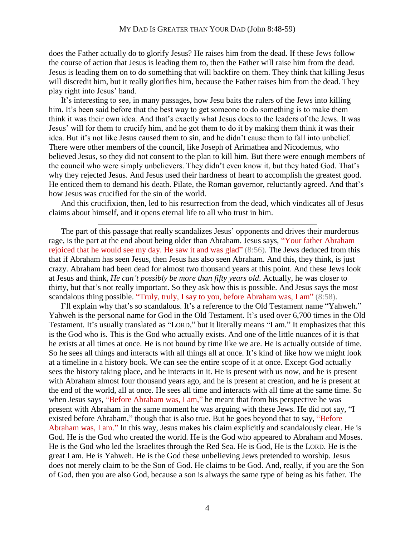does the Father actually do to glorify Jesus? He raises him from the dead. If these Jews follow the course of action that Jesus is leading them to, then the Father will raise him from the dead. Jesus is leading them on to do something that will backfire on them. They think that killing Jesus will discredit him, but it really glorifies him, because the Father raises him from the dead. They play right into Jesus' hand.

It's interesting to see, in many passages, how Jesu baits the rulers of the Jews into killing him. It's been said before that the best way to get someone to do something is to make them think it was their own idea. And that's exactly what Jesus does to the leaders of the Jews. It was Jesus' will for them to crucify him, and he got them to do it by making them think it was their idea. But it's not like Jesus caused them to sin, and he didn't cause them to fall into unbelief. There were other members of the council, like Joseph of Arimathea and Nicodemus, who believed Jesus, so they did not consent to the plan to kill him. But there were enough members of the council who were simply unbelievers. They didn't even know it, but they hated God. That's why they rejected Jesus. And Jesus used their hardness of heart to accomplish the greatest good. He enticed them to demand his death. Pilate, the Roman governor, reluctantly agreed. And that's how Jesus was crucified for the sin of the world.

And this crucifixion, then, led to his resurrection from the dead, which vindicates all of Jesus claims about himself, and it opens eternal life to all who trust in him.

The part of this passage that really scandalizes Jesus' opponents and drives their murderous rage, is the part at the end about being older than Abraham. Jesus says, "Your father Abraham rejoiced that he would see my day. He saw it and was glad" (8:56). The Jews deduced from this that if Abraham has seen Jesus, then Jesus has also seen Abraham. And this, they think, is just crazy. Abraham had been dead for almost two thousand years at this point. And these Jews look at Jesus and think, *He can't possibly be more than fifty years old*. Actually, he was closer to thirty, but that's not really important. So they ask how this is possible. And Jesus says the most scandalous thing possible. "Truly, truly, I say to you, before Abraham was, I am" (8:58).

I'll explain why that's so scandalous. It's a reference to the Old Testament name "Yahweh." Yahweh is the personal name for God in the Old Testament. It's used over 6,700 times in the Old Testament. It's usually translated as "LORD," but it literally means "I am." It emphasizes that this is the God who is. This is the God who actually exists. And one of the little nuances of it is that he exists at all times at once. He is not bound by time like we are. He is actually outside of time. So he sees all things and interacts with all things all at once. It's kind of like how we might look at a timeline in a history book. We can see the entire scope of it at once. Except God actually sees the history taking place, and he interacts in it. He is present with us now, and he is present with Abraham almost four thousand years ago, and he is present at creation, and he is present at the end of the world, all at once. He sees all time and interacts with all time at the same time. So when Jesus says, "Before Abraham was, I am," he meant that from his perspective he was present with Abraham in the same moment he was arguing with these Jews. He did not say, "I existed before Abraham," though that is also true. But he goes beyond that to say, "Before Abraham was, I am." In this way, Jesus makes his claim explicitly and scandalously clear. He is God. He is the God who created the world. He is the God who appeared to Abraham and Moses. He is the God who led the Israelites through the Red Sea. He is God, He is the LORD. He is the great I am. He is Yahweh. He is the God these unbelieving Jews pretended to worship. Jesus does not merely claim to be the Son of God. He claims to be God. And, really, if you are the Son of God, then you are also God, because a son is always the same type of being as his father. The